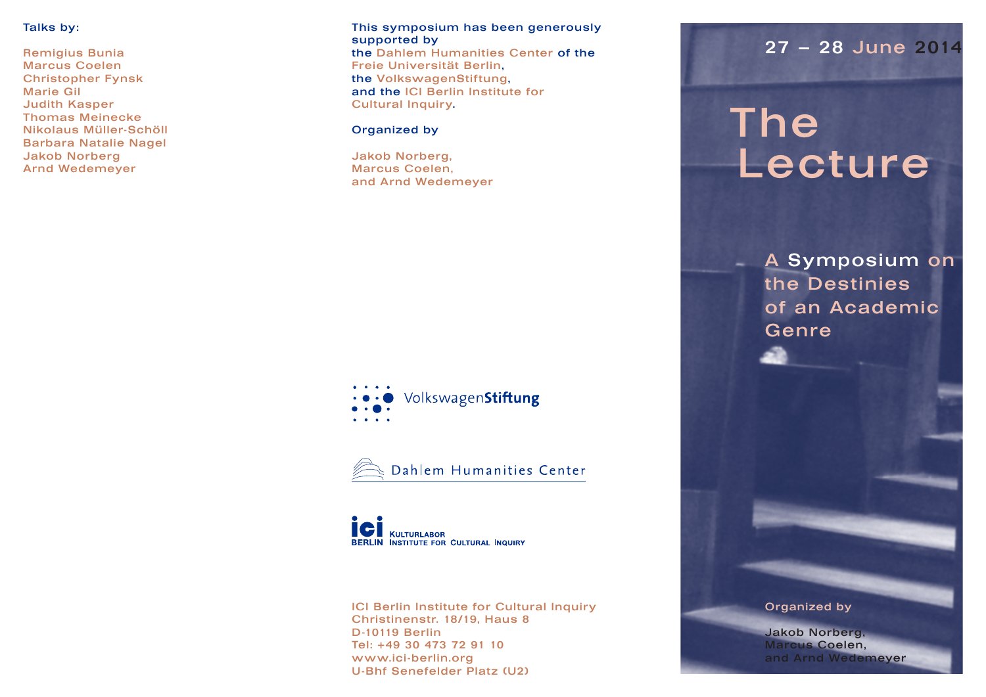## Talks by:

Remigius Bunia Marcus Coelen Christopher Fynsk Marie Gil Judith Kasper Thomas Meinecke Nikolaus Müller-Schöll Barbara Natalie Nagel Jakob Norberg Arnd Wedemeyer

#### This symposium has been generously supported by the Dahlem Humanities Center of the

Freie Universität Berlin, the VolkswagenStiftung, and the ICI Berlin Institute for Cultural Inquiry.

## Organized by

Jakob Norberg, Marcus Coelen, and Arnd Wedemeyer

## VolkswagenStiftung



**KULTURLABOR** BERLIN INSTITUTE FOR CULTURAL INQUIRY

ICI Berlin Institute for Cultural Inquiry Christinenstr. 18/19, Haus 8 D-10119 Berlin Tel: +49 30 473 72 91 10 www.ici-berlin.org U-Bhf Senefelder Platz (U2)

## 27 – 28 June 2014

# The Lecture

A Symposium on the Destinies of an Academic Genre

## Organized by

Jakob Norberg, Marcus Coelen, and Arnd Wedemeyer